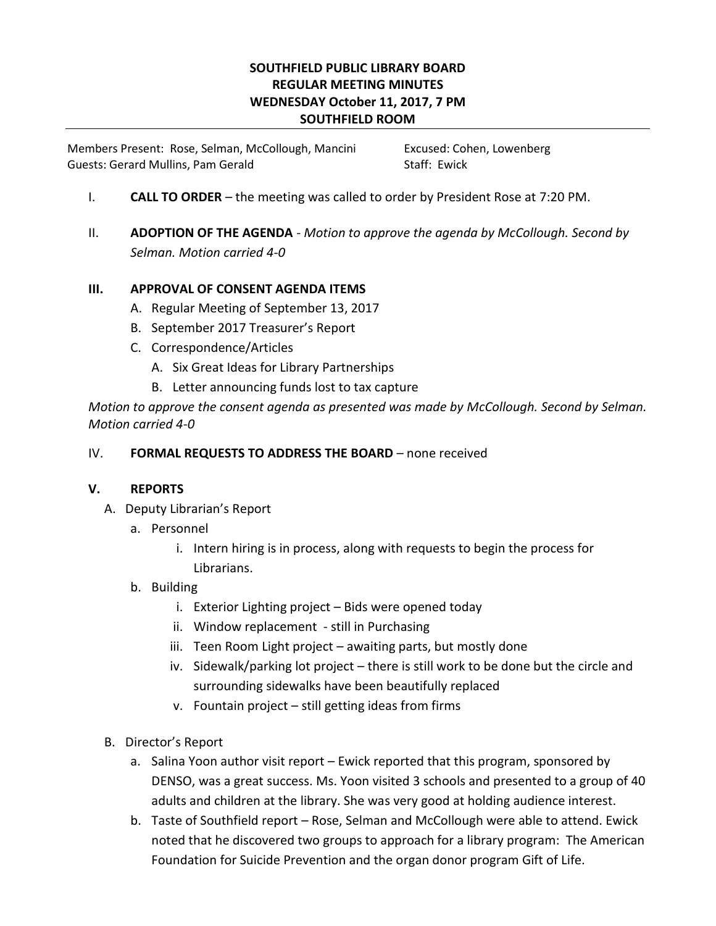# **SOUTHFIELD PUBLIC LIBRARY BOARD REGULAR MEETING MINUTES WEDNESDAY October 11, 2017, 7 PM SOUTHFIELD ROOM**

Members Present: Rose, Selman, McCollough, Mancini Excused: Cohen, Lowenberg Guests: Gerard Mullins, Pam Gerald Staff: Ewick

- I. **CALL TO ORDER** the meeting was called to order by President Rose at 7:20 PM.
- II. **ADOPTION OF THE AGENDA** *- Motion to approve the agenda by McCollough. Second by Selman. Motion carried 4-0*

# **III. APPROVAL OF CONSENT AGENDA ITEMS**

- A. Regular Meeting of September 13, 2017
- B. September 2017 Treasurer's Report
- C. Correspondence/Articles
	- A. Six Great Ideas for Library Partnerships
	- B. Letter announcing funds lost to tax capture

*Motion to approve the consent agenda as presented was made by McCollough. Second by Selman. Motion carried 4-0*

### IV. **FORMAL REQUESTS TO ADDRESS THE BOARD** – none received

### **V. REPORTS**

- A. Deputy Librarian's Report
	- a. Personnel
		- i. Intern hiring is in process, along with requests to begin the process for Librarians.

### b. Building

- i. Exterior Lighting project Bids were opened today
- ii. Window replacement still in Purchasing
- iii. Teen Room Light project awaiting parts, but mostly done
- iv. Sidewalk/parking lot project there is still work to be done but the circle and surrounding sidewalks have been beautifully replaced
- v. Fountain project still getting ideas from firms
- B. Director's Report
	- a. Salina Yoon author visit report Ewick reported that this program, sponsored by DENSO, was a great success. Ms. Yoon visited 3 schools and presented to a group of 40 adults and children at the library. She was very good at holding audience interest.
	- b. Taste of Southfield report Rose, Selman and McCollough were able to attend. Ewick noted that he discovered two groups to approach for a library program: The American Foundation for Suicide Prevention and the organ donor program Gift of Life.